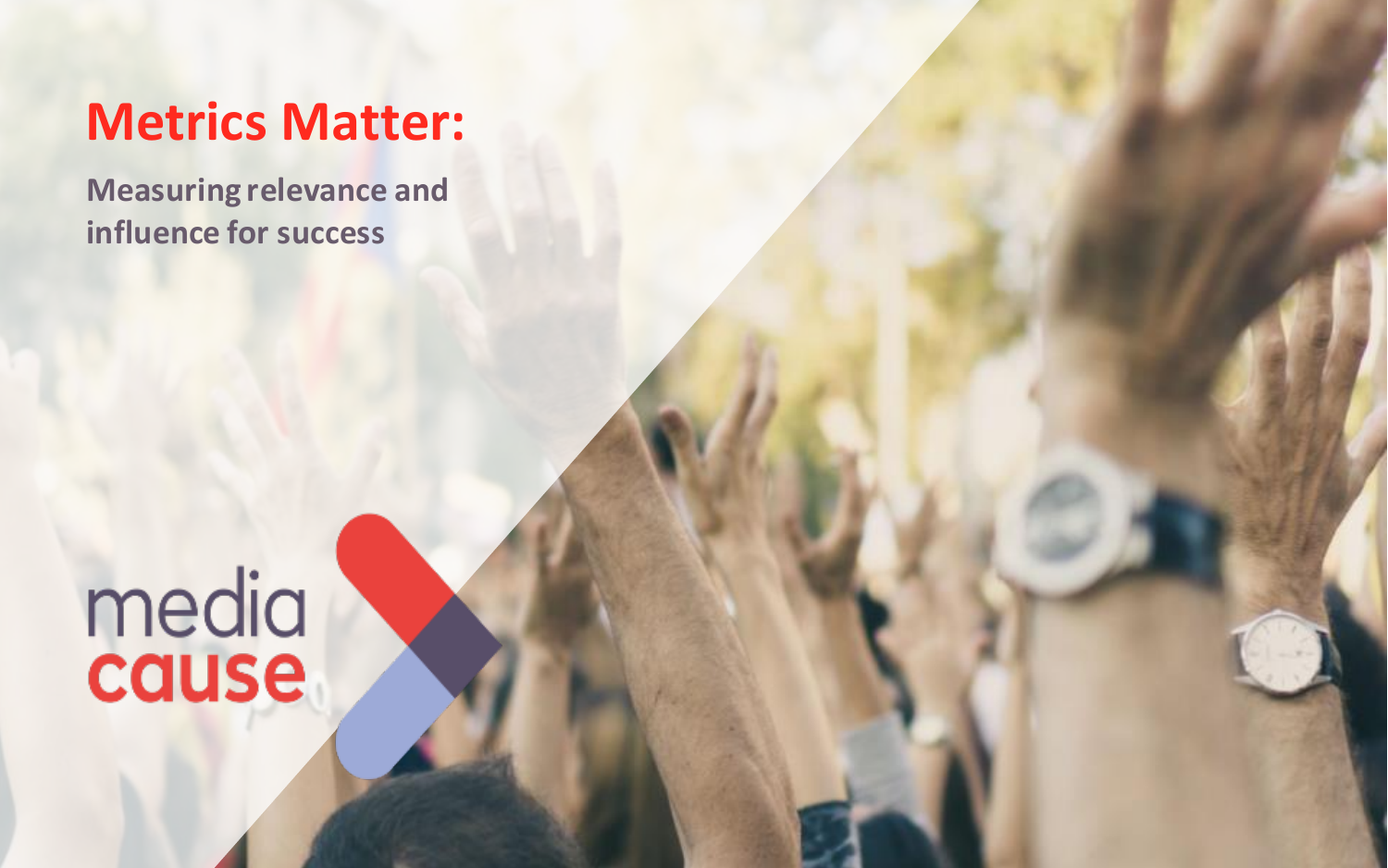# **Metrics Matter:**

**Measuring relevance and influence for success**

# media<br>cause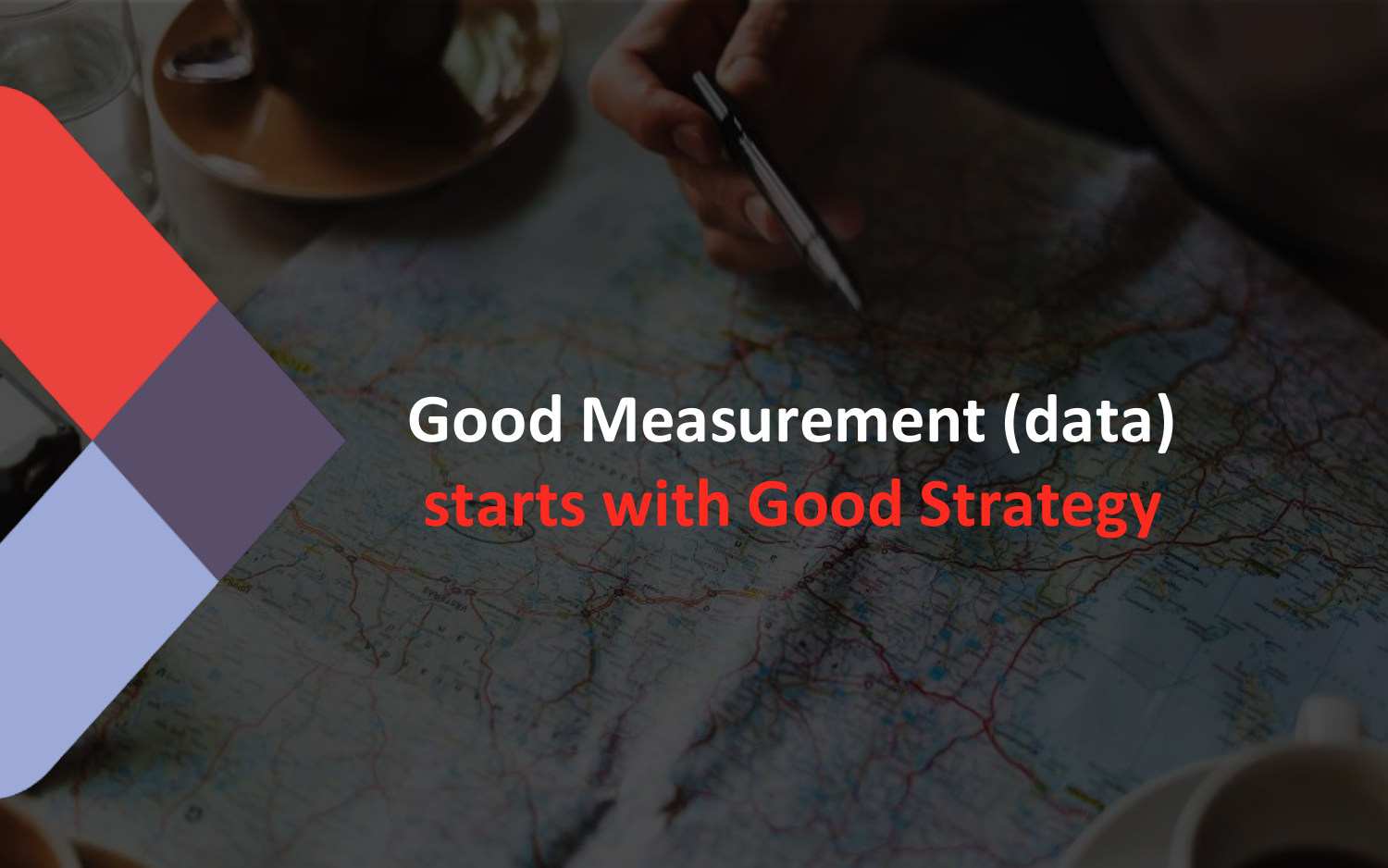# **Good Measurement (data) starts with Good Strategy**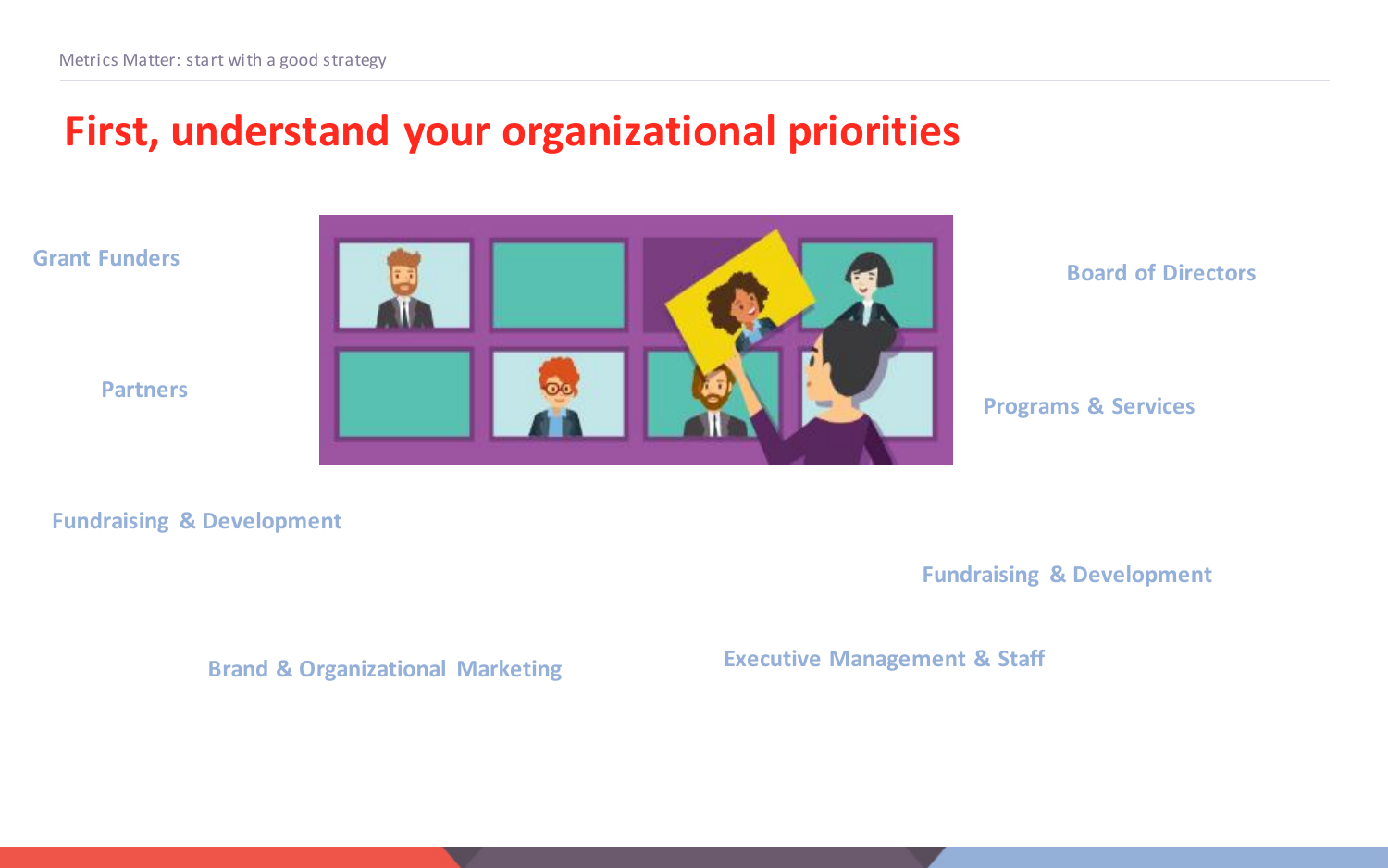## **First, understand your organizational priorities**

**Grant Funders**

**Partners**



#### **Board of Directors**

**Programs & Services**

#### **Fundraising & Development**

**Fundraising & Development**

#### **Executive Management & Staff Brand & Organizational Marketing**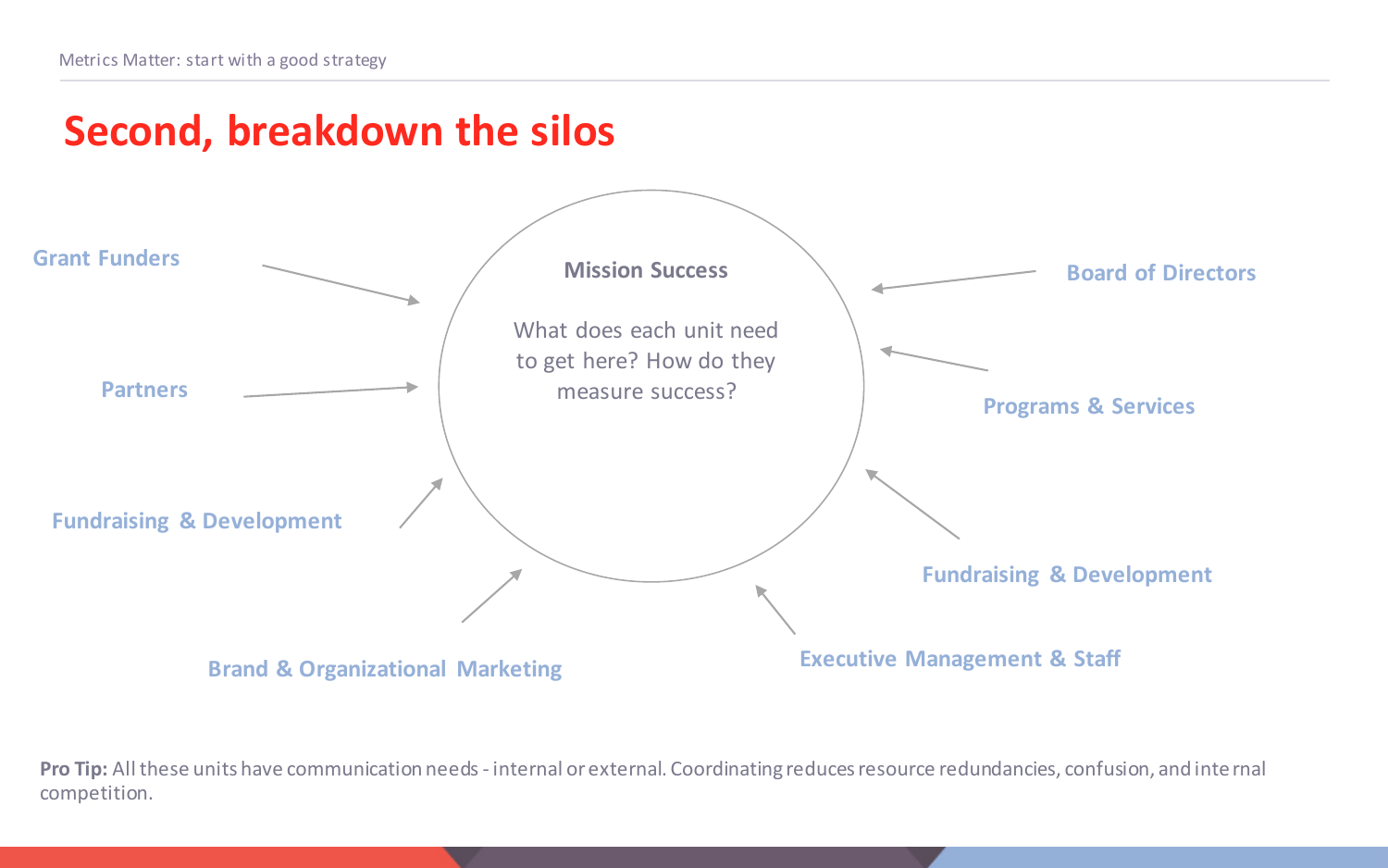## **Second, breakdown the silos**



**Pro Tip:** All these units have communication needs - internal or external. Coordinating reduces resource redundancies, confusion, and internal competition.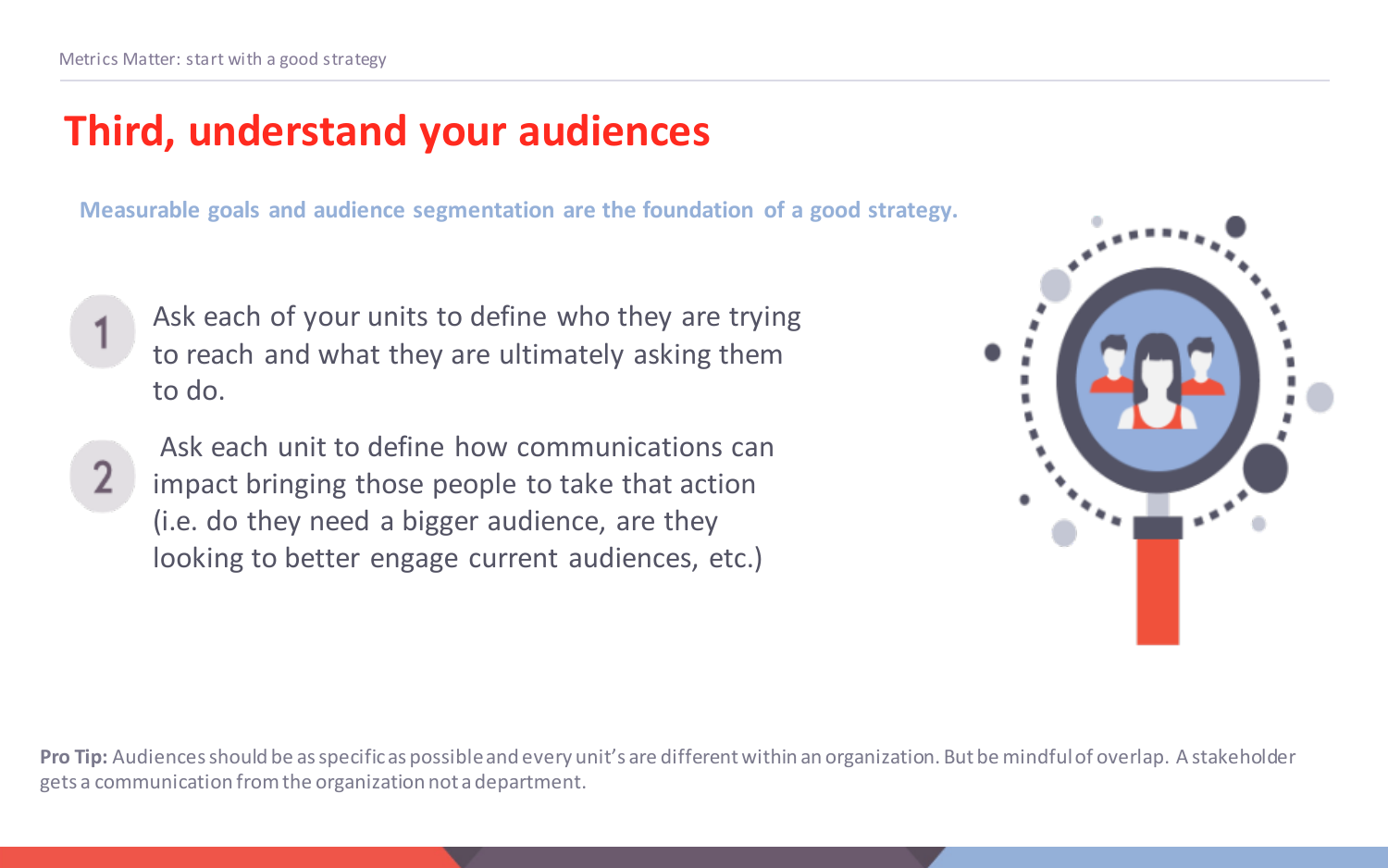# **Third, understand your audiences**

**Measurable goals and audience segmentation are the foundation of a good strategy.**

- Ask each of your units to define who they are trying to reach and what they are ultimately asking them to do.
	- Ask each unit to define how communications can impact bringing those people to take that action (i.e. do they need a bigger audience, are they looking to better engage current audiences, etc.)



**Pro Tip:** Audiences should be as specific as possible and every unit's are different within an organization. But be mindful of overlap. A stakeholder gets a communication from the organization not a department.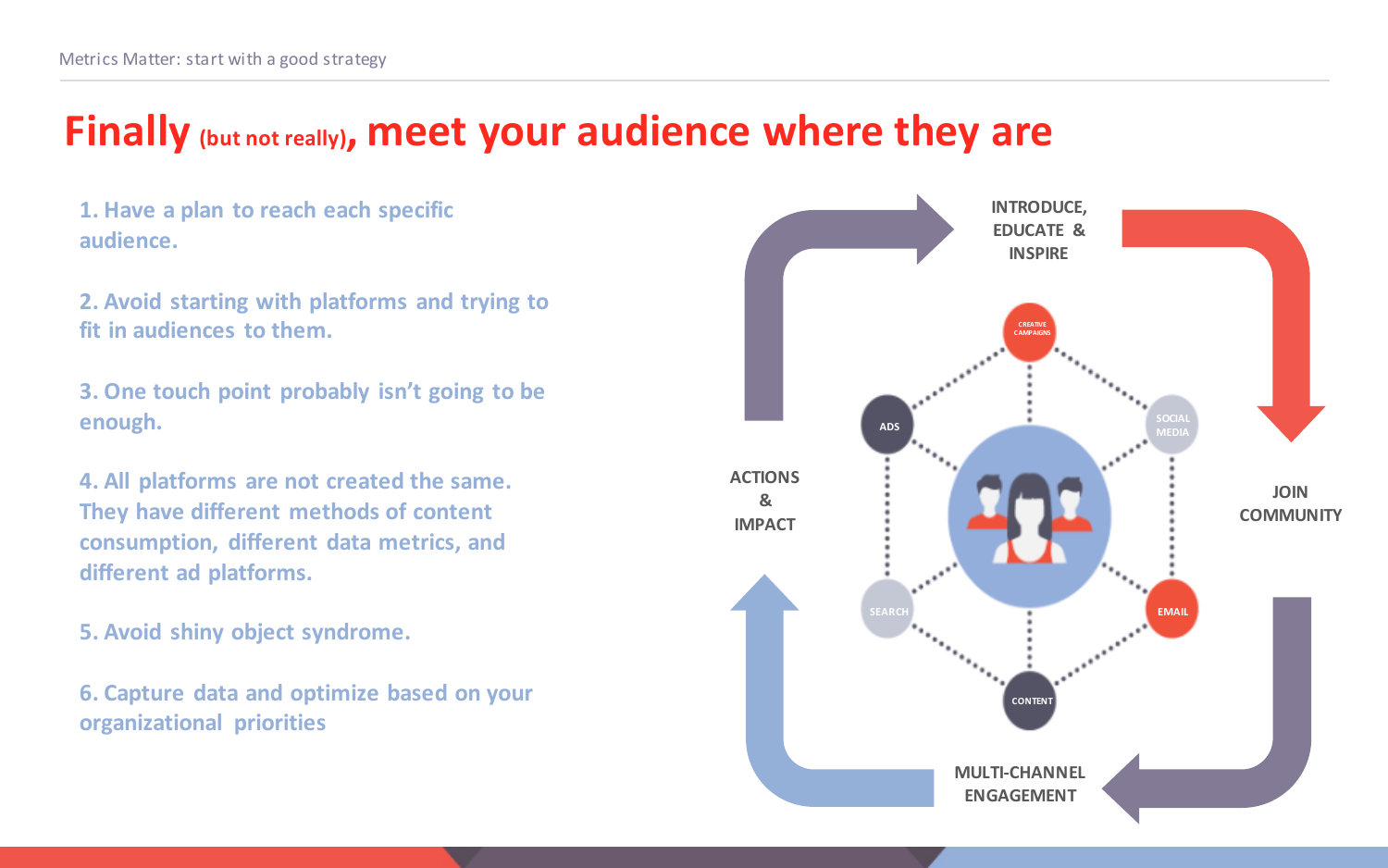### **Finally (but not really), meet your audience where they are**

**1. Have a plan to reach each specific audience.**

**2. Avoid starting with platforms and trying to fit in audiences to them.**

**3. One touch point probably isn't going to be enough.**

**4. All platforms are not created the same. They have different methods of content consumption, different data metrics, and different ad platforms.**

**5. Avoid shiny object syndrome.**

**6. Capture data and optimize based on your organizational priorities**